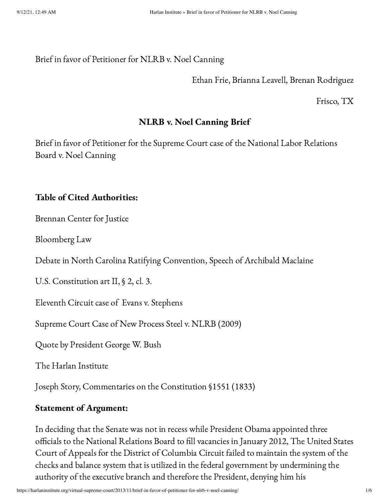### Brief in favor of Petitioner for NLRB v. Noel Canning

### Ethan Frie, Brianna Leavell, Brenan Rodriguez

Frisco, TX

# NLRB v. Noel Canning Brief

Brief in favor of Petitioner for the Supreme Court case of the National Labor Relations Board v. Noel Canning

### Table of Cited Authorities:

Brennan Center for Justice

Bloomberg Law

Debate in North Carolina Ratifying Convention, Speech of Archibald Maclaine

U.S. Constitution art II, § 2, cl. 3.

Eleventh Circuit case of Evans v. Stephens

Supreme Court Case of New Process Steel v. NLRB (2009)

Quote by President George W. Bush

The Harlan Institute

Joseph Story, Commentaries on the Constitution §1551 (1833)

# Statement of Argument:

In deciding that the Senate was not in recess while President Obama appointed three officials to the National Relations Board to fill vacancies in January 2012, The United States Court of Appeals for the District of Columbia Circuit failed to maintain the system of the checks and balance system that is utilized in the federal government by undermining the authority of the executive branch and therefore the President, denying him his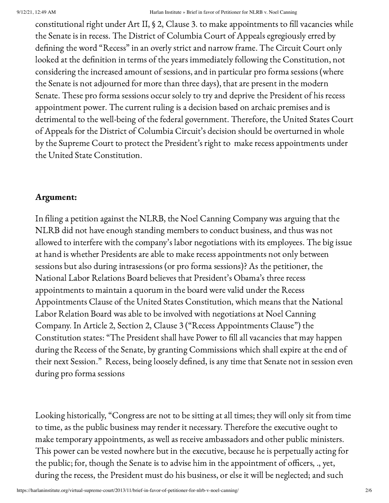#### 9/12/21, 12:49 AM Harlan Institute » Brief in favor of Petitioner for NLRB v. Noel Canning

constitutional right under Art II, § 2, Clause 3. to make appointments to fill vacancies while the Senate is in recess. The District of Columbia Court of Appeals egregiously erred by defining the word "Recess" in an overly strict and narrow frame. The Circuit Court only looked at the definition in terms of the years immediately following the Constitution, not considering the increased amount of sessions, and in particular pro forma sessions (where the Senate is not adjourned for more than three days), that are present in the modern Senate. These pro forma sessions occur solely to try and deprive the President of his recess appointment power. The current ruling is a decision based on archaic premises and is detrimental to the well-being of the federal government. Therefore, the United States Court of Appeals for the District of Columbia Circuit's decision should be overturned in whole by the Supreme Court to protect the President's right to make recess appointments under the United State Constitution.

# Argument:

In filing a petition against the NLRB, the Noel Canning Company was arguing that the NLRB did not have enough standing members to conduct business, and thus was not allowed to interfere with the company's labor negotiations with its employees. The big issue at hand is whether Presidents are able to make recess appointments not only between sessions but also during intrasessions (or pro forma sessions)? As the petitioner, the National Labor Relations Board believes that President's Obama's three recess appointments to maintain a quorum in the board were valid under the Recess Appointments Clause of the United States Constitution, which means that the National Labor Relation Board was able to be involved with negotiations at Noel Canning Company. In Article 2, Section 2, Clause 3 ("Recess Appointments Clause") the Constitution states: "The President shall have Power to fill all vacancies that may happen during the Recess of the Senate, by granting Commissions which shall expire at the end of their next Session." Recess, being loosely defined, is any time that Senate not in session even during pro forma sessions

Looking historically, "Congress are not to be sitting at all times; they will only sit from time to time, as the public business may render it necessary. Therefore the executive ought to make temporary appointments, as well as receive ambassadors and other public ministers. This power can be vested nowhere but in the executive, because he is perpetually acting for the public; for, though the Senate is to advise him in the appointment of officers, ., yet, during the recess, the President must do his business, or else it will be neglected; and such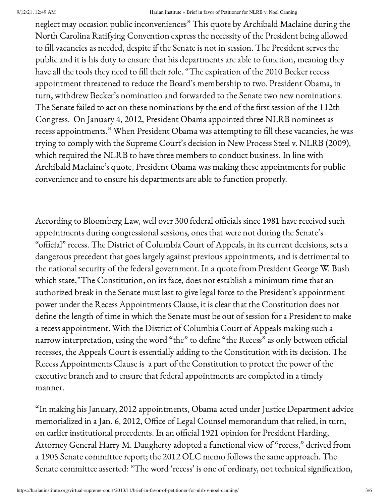#### 9/12/21, 12:49 AM Harlan Institute » Brief in favor of Petitioner for NLRB v. Noel Canning

neglect may occasion public inconveniences" This quote by Archibald Maclaine during the North Carolina Ratifying Convention express the necessity of the President being allowed to fill vacancies as needed, despite if the Senate is not in session. The President serves the public and it is his duty to ensure that his departments are able to function, meaning they have all the tools they need to fill their role. "The expiration of the 2010 Becker recess appointment threatened to reduce the Board's membership to two. President Obama, in turn, withdrew Becker's nomination and forwarded to the Senate two new nominations. The Senate failed to act on these nominations by the end of the first session of the 112th Congress. On January 4, 2012, President Obama appointed three NLRB nominees as recess appointments." When President Obama was attempting to fill these vacancies, he was trying to comply with the Supreme Court's decision in New Process Steel v. NLRB (2009), which required the NLRB to have three members to conduct business. In line with Archibald Maclaine's quote, President Obama was making these appointments for public convenience and to ensure his departments are able to function properly.

According to Bloomberg Law, well over 300 federal officials since 1981 have received such appointments during congressional sessions, ones that were not during the Senate's "official" recess. The District of Columbia Court of Appeals, in its current decisions, sets a dangerous precedent that goes largely against previous appointments, and is detrimental to the national security of the federal government. In a quote from President George W. Bush which state,"The Constitution, on its face, does not establish a minimum time that an authorized break in the Senate must last to give legal force to the President's appointment power under the Recess Appointments Clause, it is clear that the Constitution does not define the length of time in which the Senate must be out of session for a President to make a recess appointment. With the District of Columbia Court of Appeals making such a narrow interpretation, using the word "the" to define "the Recess" as only between official recesses, the Appeals Court is essentially adding to the Constitution with its decision. The Recess Appointments Clause is a part of the Constitution to protect the power of the executive branch and to ensure that federal appointments are completed in a timely manner.

"In making his January, 2012 appointments, Obama acted under Justice Department advice memorialized in a Jan. 6, 2012, Office of Legal Counsel memorandum that relied, in turn, on earlier institutional precedents. In an official 1921 opinion for President Harding, Attorney General Harry M. Daugherty adopted a functional view of "recess," derived from a 1905 Senate committee report; the 2012 OLC memo follows the same approach. The Senate committee asserted: "The word 'recess' is one of ordinary, not technical signification,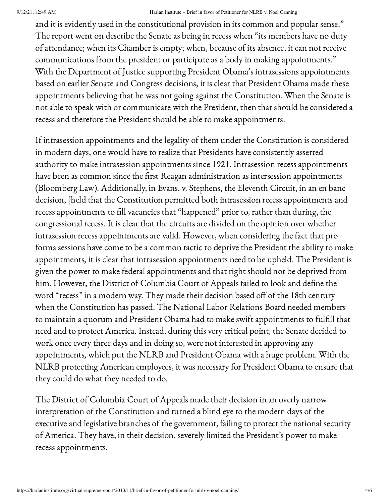#### 9/12/21, 12:49 AM Harlan Institute » Brief in favor of Petitioner for NLRB v. Noel Canning

and it is evidently used in the constitutional provision in its common and popular sense." The report went on describe the Senate as being in recess when "its members have no duty of attendance; when its Chamber is empty; when, because of its absence, it can not receive communications from the president or participate as a body in making appointments." With the Department of Justice supporting President Obama's intrasessions appointments based on earlier Senate and Congress decisions, it is clear that President Obama made these appointments believing that he was not going against the Constitution. When the Senate is not able to speak with or communicate with the President, then that should be considered a recess and therefore the President should be able to make appointments.

If intrasession appointments and the legality of them under the Constitution is considered in modern days, one would have to realize that Presidents have consistently asserted authority to make intrasession appointments since 1921. Intrasession recess appointments have been as common since the first Reagan administration as intersession appointments (Bloomberg Law). Additionally, in Evans. v. Stephens, the Eleventh Circuit, in an en banc decision, [held that the Constitution permitted both intrasession recess appointments and recess appointments to fill vacancies that "happened" prior to, rather than during, the congressional recess. It is clear that the circuits are divided on the opinion over whether intrasession recess appointments are valid. However, when considering the fact that pro forma sessions have come to be a common tactic to deprive the President the ability to make appointments, it is clear that intrasession appointments need to be upheld. The President is given the power to make federal appointments and that right should not be deprived from him. However, the District of Columbia Court of Appeals failed to look and define the word "recess" in a modern way. They made their decision based off of the 18th century when the Constitution has passed. The National Labor Relations Board needed members to maintain a quorum and President Obama had to make swift appointments to fulfill that need and to protect America. Instead, during this very critical point, the Senate decided to work once every three days and in doing so, were not interested in approving any appointments, which put the NLRB and President Obama with a huge problem. With the NLRB protecting American employees, it was necessary for President Obama to ensure that they could do what they needed to do.

The District of Columbia Court of Appeals made their decision in an overly narrow interpretation of the Constitution and turned a blind eye to the modern days of the executive and legislative branches of the government, failing to protect the national security of America. They have, in their decision, severely limited the President's power to make recess appointments.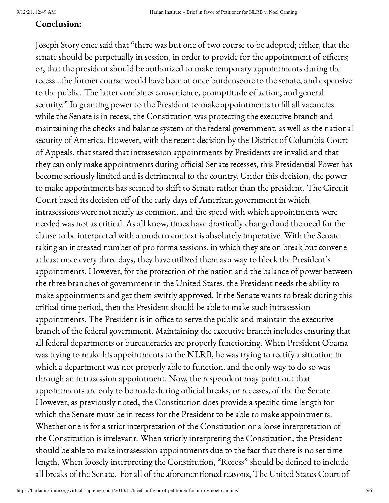### Conclusion:

Joseph Story once said that "there was but one of two course to be adopted; either, that the senate should be perpetually in session, in order to provide for the appointment of officers; or, that the president should be authorized to make temporary appointments during the recess…the former course would have been at once burdensome to the senate, and expensive to the public. The latter combines convenience, promptitude of action, and general security." In granting power to the President to make appointments to fill all vacancies while the Senate is in recess, the Constitution was protecting the executive branch and maintaining the checks and balance system of the federal government, as well as the national security of America. However, with the recent decision by the District of Columbia Court of Appeals, that stated that intrasession appointments by Presidents are invalid and that they can only make appointments during official Senate recesses, this Presidential Power has become seriously limited and is detrimental to the country. Under this decision, the power to make appointments has seemed to shift to Senate rather than the president. The Circuit Court based its decision off of the early days of American government in which intrasessions were not nearly as common, and the speed with which appointments were needed was not as critical. As all know, times have drastically changed and the need for the clause to be interpreted with a modern context is absolutely imperative. With the Senate taking an increased number of pro forma sessions, in which they are on break but convene at least once every three days, they have utilized them as a way to block the President's appointments. However, for the protection of the nation and the balance of power between the three branches of government in the United States, the President needs the ability to make appointments and get them swiftly approved. If the Senate wants to break during this critical time period, then the President should be able to make such intrasession appointments. The President is in office to serve the public and maintain the executive branch of the federal government. Maintaining the executive branch includes ensuring that all federal departments or bureaucracies are properly functioning. When President Obama was trying to make his appointments to the NLRB, he was trying to rectify a situation in which a department was not properly able to function, and the only way to do so was through an intrasession appointment. Now, the respondent may point out that appointments are only to be made during official breaks, or recesses, of the the Senate. However, as previously noted, the Constitution does provide a specific time length for which the Senate must be in recess for the President to be able to make appointments. Whether one is for a strict interpretation of the Constitution or a loose interpretation of the Constitution is irrelevant. When strictly interpreting the Constitution, the President should be able to make intrasession appointments due to the fact that there is no set time length. When loosely interpreting the Constitution, "Recess" should be defined to include all breaks of the Senate. For all of the aforementioned reasons, The United States Court of